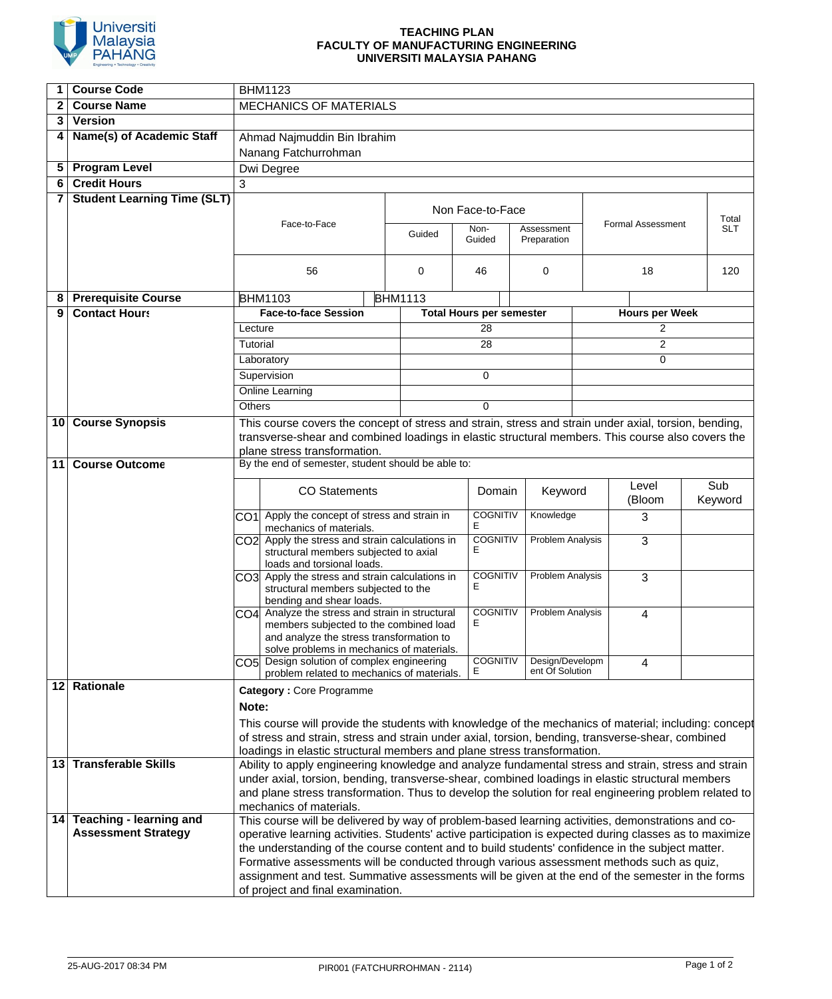

## **TEACHING PLAN FACULTY OF MANUFACTURING ENGINEERING UNIVERSITI MALAYSIA PAHANG**

| 1   | <b>Course Code</b>                 | <b>BHM1123</b>                                                                                                                                                                                               |                                                                                                       |  |                      |                                 |                                     |       |                          |                     |  |
|-----|------------------------------------|--------------------------------------------------------------------------------------------------------------------------------------------------------------------------------------------------------------|-------------------------------------------------------------------------------------------------------|--|----------------------|---------------------------------|-------------------------------------|-------|--------------------------|---------------------|--|
| 2   | <b>Course Name</b>                 | <b>MECHANICS OF MATERIALS</b>                                                                                                                                                                                |                                                                                                       |  |                      |                                 |                                     |       |                          |                     |  |
| 3   | <b>Version</b>                     |                                                                                                                                                                                                              |                                                                                                       |  |                      |                                 |                                     |       |                          |                     |  |
|     |                                    |                                                                                                                                                                                                              |                                                                                                       |  |                      |                                 |                                     |       |                          |                     |  |
| 4   | Name(s) of Academic Staff          | Ahmad Najmuddin Bin Ibrahim                                                                                                                                                                                  |                                                                                                       |  |                      |                                 |                                     |       |                          |                     |  |
|     |                                    | Nanang Fatchurrohman                                                                                                                                                                                         |                                                                                                       |  |                      |                                 |                                     |       |                          |                     |  |
| 5   | <b>Program Level</b>               | Dwi Degree                                                                                                                                                                                                   |                                                                                                       |  |                      |                                 |                                     |       |                          |                     |  |
| 6   | <b>Credit Hours</b>                | 3                                                                                                                                                                                                            |                                                                                                       |  |                      |                                 |                                     |       |                          |                     |  |
| 7   | <b>Student Learning Time (SLT)</b> |                                                                                                                                                                                                              |                                                                                                       |  |                      |                                 |                                     |       |                          |                     |  |
|     |                                    | Face-to-Face                                                                                                                                                                                                 |                                                                                                       |  | Non Face-to-Face     |                                 |                                     |       |                          |                     |  |
|     |                                    |                                                                                                                                                                                                              |                                                                                                       |  | Non-<br>Guided       |                                 | Assessment                          |       | <b>Formal Assessment</b> | Total<br><b>SLT</b> |  |
|     |                                    |                                                                                                                                                                                                              |                                                                                                       |  |                      | Guided                          | Preparation                         |       |                          |                     |  |
|     |                                    |                                                                                                                                                                                                              |                                                                                                       |  |                      |                                 |                                     |       |                          |                     |  |
|     |                                    | 56                                                                                                                                                                                                           |                                                                                                       |  | 0                    | 46                              | 0                                   | 18    |                          | 120                 |  |
|     |                                    |                                                                                                                                                                                                              |                                                                                                       |  |                      |                                 |                                     |       |                          |                     |  |
| 8   | <b>Prerequisite Course</b>         | <b>BHM1103</b><br><b>BHM1113</b>                                                                                                                                                                             |                                                                                                       |  |                      |                                 |                                     |       |                          |                     |  |
| 9   | <b>Contact Hours</b>               | <b>Face-to-face Session</b>                                                                                                                                                                                  |                                                                                                       |  |                      | <b>Total Hours per semester</b> |                                     |       | <b>Hours per Week</b>    |                     |  |
|     |                                    | Lecture                                                                                                                                                                                                      |                                                                                                       |  |                      | 28                              |                                     | 2     |                          |                     |  |
|     |                                    | Tutorial                                                                                                                                                                                                     |                                                                                                       |  |                      | $\overline{28}$                 |                                     |       | $\overline{c}$           |                     |  |
|     |                                    |                                                                                                                                                                                                              | Laboratory                                                                                            |  |                      |                                 |                                     |       | $\Omega$                 |                     |  |
|     |                                    | Supervision                                                                                                                                                                                                  |                                                                                                       |  | $\Omega$             |                                 |                                     |       |                          |                     |  |
|     |                                    | Online Learning                                                                                                                                                                                              |                                                                                                       |  |                      |                                 |                                     |       |                          |                     |  |
|     |                                    | <b>Others</b>                                                                                                                                                                                                |                                                                                                       |  |                      | $\Omega$                        |                                     |       |                          |                     |  |
|     | 10 Course Synopsis                 | This course covers the concept of stress and strain, stress and strain under axial, torsion, bending,                                                                                                        |                                                                                                       |  |                      |                                 |                                     |       |                          |                     |  |
|     |                                    |                                                                                                                                                                                                              | transverse-shear and combined loadings in elastic structural members. This course also covers the     |  |                      |                                 |                                     |       |                          |                     |  |
|     |                                    |                                                                                                                                                                                                              | plane stress transformation.                                                                          |  |                      |                                 |                                     |       |                          |                     |  |
| 11  | <b>Course Outcome</b>              | By the end of semester, student should be able to:                                                                                                                                                           |                                                                                                       |  |                      |                                 |                                     |       |                          |                     |  |
|     |                                    |                                                                                                                                                                                                              |                                                                                                       |  |                      |                                 |                                     |       |                          |                     |  |
|     |                                    | <b>CO</b> Statements                                                                                                                                                                                         |                                                                                                       |  | Domain               | Keyword                         |                                     | Level | Sub                      |                     |  |
|     |                                    |                                                                                                                                                                                                              |                                                                                                       |  |                      |                                 |                                     |       | (Bloom                   | Keyword             |  |
|     |                                    |                                                                                                                                                                                                              | CO1 Apply the concept of stress and strain in<br>mechanics of materials.                              |  | <b>COGNITIV</b><br>E | Knowledge                       |                                     | 3     |                          |                     |  |
|     |                                    |                                                                                                                                                                                                              | CO2 Apply the stress and strain calculations in                                                       |  | <b>COGNITIV</b>      | <b>Problem Analysis</b>         |                                     | 3     |                          |                     |  |
|     |                                    |                                                                                                                                                                                                              | structural members subjected to axial                                                                 |  |                      | Е                               |                                     |       |                          |                     |  |
|     |                                    |                                                                                                                                                                                                              | loads and torsional loads.                                                                            |  |                      |                                 |                                     |       |                          |                     |  |
|     |                                    |                                                                                                                                                                                                              | CO3 Apply the stress and strain calculations in<br>structural members subjected to the                |  |                      | <b>COGNITIV</b><br>Е            | <b>Problem Analysis</b>             |       | 3                        |                     |  |
|     |                                    |                                                                                                                                                                                                              | bending and shear loads.                                                                              |  |                      |                                 |                                     |       |                          |                     |  |
|     |                                    |                                                                                                                                                                                                              | CO4 Analyze the stress and strain in structural                                                       |  |                      |                                 | <b>COGNITIV</b><br>Problem Analysis |       | 4                        |                     |  |
|     |                                    |                                                                                                                                                                                                              | members subjected to the combined load                                                                |  |                      | Е                               |                                     |       |                          |                     |  |
|     |                                    |                                                                                                                                                                                                              | and analyze the stress transformation to                                                              |  |                      |                                 |                                     |       |                          |                     |  |
|     |                                    |                                                                                                                                                                                                              | solve problems in mechanics of materials.                                                             |  |                      | <b>COGNITIV</b>                 | Design/Developm                     |       |                          |                     |  |
|     |                                    |                                                                                                                                                                                                              | CO5 Design solution of complex engineering<br>problem related to mechanics of materials.              |  |                      | Е                               | ent Of Solution                     |       | 4                        |                     |  |
|     | 12 Rationale                       |                                                                                                                                                                                                              |                                                                                                       |  |                      |                                 |                                     |       |                          |                     |  |
|     |                                    | <b>Category: Core Programme</b><br>Note:                                                                                                                                                                     |                                                                                                       |  |                      |                                 |                                     |       |                          |                     |  |
|     |                                    |                                                                                                                                                                                                              |                                                                                                       |  |                      |                                 |                                     |       |                          |                     |  |
|     |                                    |                                                                                                                                                                                                              | This course will provide the students with knowledge of the mechanics of material; including: concept |  |                      |                                 |                                     |       |                          |                     |  |
|     |                                    | of stress and strain, stress and strain under axial, torsion, bending, transverse-shear, combined<br>loadings in elastic structural members and plane stress transformation.                                 |                                                                                                       |  |                      |                                 |                                     |       |                          |                     |  |
| 131 | <b>Transferable Skills</b>         |                                                                                                                                                                                                              | Ability to apply engineering knowledge and analyze fundamental stress and strain, stress and strain   |  |                      |                                 |                                     |       |                          |                     |  |
|     |                                    |                                                                                                                                                                                                              | under axial, torsion, bending, transverse-shear, combined loadings in elastic structural members      |  |                      |                                 |                                     |       |                          |                     |  |
|     |                                    |                                                                                                                                                                                                              | and plane stress transformation. Thus to develop the solution for real engineering problem related to |  |                      |                                 |                                     |       |                          |                     |  |
|     |                                    |                                                                                                                                                                                                              | mechanics of materials.                                                                               |  |                      |                                 |                                     |       |                          |                     |  |
|     | 14 Teaching - learning and         |                                                                                                                                                                                                              |                                                                                                       |  |                      |                                 |                                     |       |                          |                     |  |
|     | <b>Assessment Strategy</b>         | This course will be delivered by way of problem-based learning activities, demonstrations and co-<br>operative learning activities. Students' active participation is expected during classes as to maximize |                                                                                                       |  |                      |                                 |                                     |       |                          |                     |  |
|     |                                    | the understanding of the course content and to build students' confidence in the subject matter.                                                                                                             |                                                                                                       |  |                      |                                 |                                     |       |                          |                     |  |
|     |                                    | Formative assessments will be conducted through various assessment methods such as quiz,                                                                                                                     |                                                                                                       |  |                      |                                 |                                     |       |                          |                     |  |
|     |                                    | assignment and test. Summative assessments will be given at the end of the semester in the forms                                                                                                             |                                                                                                       |  |                      |                                 |                                     |       |                          |                     |  |
|     |                                    | of project and final examination.                                                                                                                                                                            |                                                                                                       |  |                      |                                 |                                     |       |                          |                     |  |